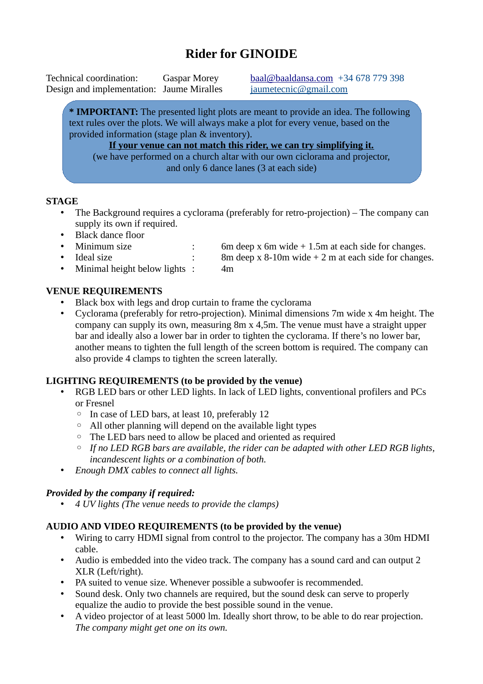### **Rider for GINOIDE**

Technical coordination: Gaspar Morey [baal@baaldansa.com](mailto:baal@baaldansa.com) +34 678 779 398 Design and implementation: Jaume Miralles [jaumetecnic@gmail.com](mailto:jaumetecnic@gmail.com)

**\* IMPORTANT:** The presented light plots are meant to provide an idea. The following text rules over the plots. We will always make a plot for every venue, based on the provided information (stage plan & inventory).

**If your venue can not match this rider, we can try simplifying it.** (we have performed on a church altar with our own ciclorama and projector, and only 6 dance lanes (3 at each side)

#### **STAGE**

- The Background requires a cyclorama (preferably for retro-projection) The company can supply its own if required.
- Black dance floor
- 
- 
- Minimal height below lights : 4m

#### **VENUE REQUIREMENTS**

- Black box with legs and drop curtain to frame the cyclorama
- Cyclorama (preferably for retro-projection). Minimal dimensions 7m wide x 4m height. The company can supply its own, measuring 8m x 4,5m. The venue must have a straight upper bar and ideally also a lower bar in order to tighten the cyclorama. If there's no lower bar, another means to tighten the full length of the screen bottom is required. The company can also provide 4 clamps to tighten the screen laterally.

#### **LIGHTING REQUIREMENTS (to be provided by the venue)**

- RGB LED bars or other LED lights. In lack of LED lights, conventional profilers and PCs or Fresnel
	- In case of LED bars, at least 10, preferably 12
	- All other planning will depend on the available light types
	- The LED bars need to allow be placed and oriented as required
	- *If no LED RGB bars are available, the rider can be adapted with other LED RGB lights, incandescent lights or a combination of both.*
- *Enough DMX cables to connect all lights.*

#### *Provided by the company if required:*

• *4 UV lights (The venue needs to provide the clamps)*

#### **AUDIO AND VIDEO REQUIREMENTS (to be provided by the venue)**

- Wiring to carry HDMI signal from control to the projector. The company has a 30m HDMI cable.
- Audio is embedded into the video track. The company has a sound card and can output 2 XLR (Left/right).
- PA suited to venue size. Whenever possible a subwoofer is recommended.
- Sound desk. Only two channels are required, but the sound desk can serve to properly equalize the audio to provide the best possible sound in the venue.
- A video projector of at least 5000 lm. Ideally short throw, to be able to do rear projection. *The company might get one on its own.*

• Minimum size : 6m deep x 6m wide + 1.5m at each side for changes. • Ideal size : 8m deep x 8-10m wide + 2 m at each side for changes.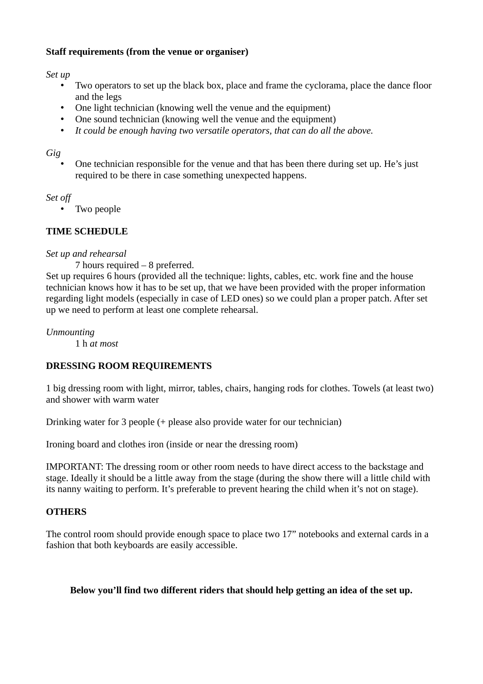#### **Staff requirements (from the venue or organiser)**

*Set up*

- Two operators to set up the black box, place and frame the cyclorama, place the dance floor and the legs
- One light technician (knowing well the venue and the equipment)
- One sound technician (knowing well the venue and the equipment)
- *It could be enough having two versatile operators, that can do all the above.*

#### *Gig*

• One technician responsible for the venue and that has been there during set up. He's just required to be there in case something unexpected happens.

#### *Set off*

• Two people

#### **TIME SCHEDULE**

#### *Set up and rehearsal*

7 hours required – 8 preferred.

Set up requires 6 hours (provided all the technique: lights, cables, etc. work fine and the house technician knows how it has to be set up, that we have been provided with the proper information regarding light models (especially in case of LED ones) so we could plan a proper patch. After set up we need to perform at least one complete rehearsal.

*Unmounting*

1 h *at most*

#### **DRESSING ROOM REQUIREMENTS**

1 big dressing room with light, mirror, tables, chairs, hanging rods for clothes. Towels (at least two) and shower with warm water

Drinking water for 3 people (+ please also provide water for our technician)

Ironing board and clothes iron (inside or near the dressing room)

IMPORTANT: The dressing room or other room needs to have direct access to the backstage and stage. Ideally it should be a little away from the stage (during the show there will a little child with its nanny waiting to perform. It's preferable to prevent hearing the child when it's not on stage).

#### **OTHERS**

The control room should provide enough space to place two 17" notebooks and external cards in a fashion that both keyboards are easily accessible.

#### **Below you'll find two different riders that should help getting an idea of the set up.**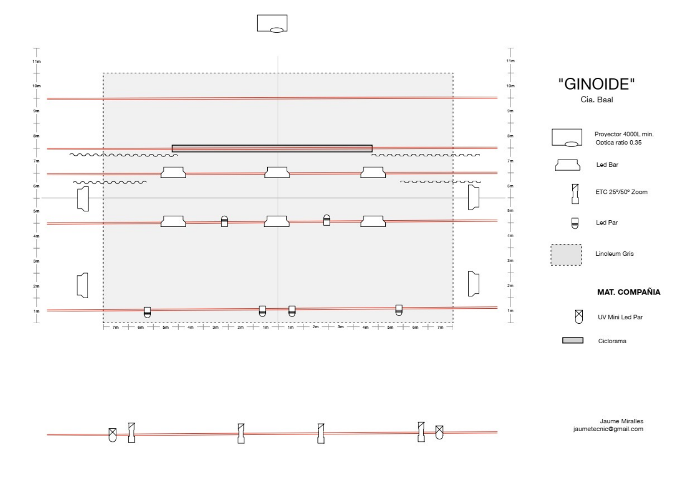

⊠

Ŋ

Jaume Miralles jaumetecnic@gmail.com